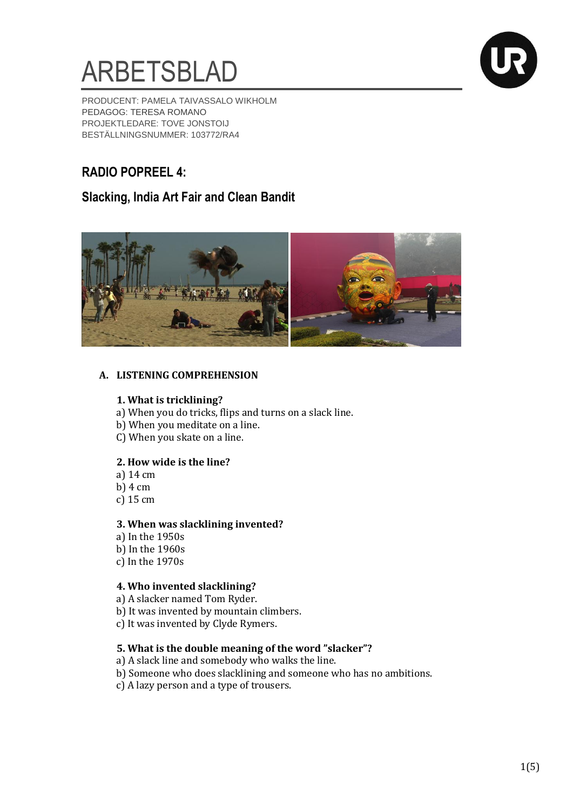



PRODUCENT: PAMELA TAIVASSALO WIKHOLM PEDAGOG: TERESA ROMANO PROJEKTLEDARE: TOVE JONSTOIJ BESTÄLLNINGSNUMMER: 103772/RA4

# **RADIO POPREEL 4:**

# **Slacking, India Art Fair and Clean Bandit**



# **A. LISTENING COMPREHENSION**

#### **1. What is tricklining?**

- a) When you do tricks, flips and turns on a slack line.
- b) When you meditate on a line.
- C) When you skate on a line.

#### **2. How wide is the line?**

- a) 14 cm
- b) 4 cm
- c) 15 cm

#### **3. When was slacklining invented?**

a) In the 1950s b) In the 1960s c) In the 1970s

#### **4. Who invented slacklining?**

- a) A slacker named Tom Ryder.
- b) It was invented by mountain climbers.
- c) It was invented by Clyde Rymers.

#### **5. What is the double meaning of the word "slacker"?**

- a) A slack line and somebody who walks the line.
- b) Someone who does slacklining and someone who has no ambitions.
- c) A lazy person and a type of trousers.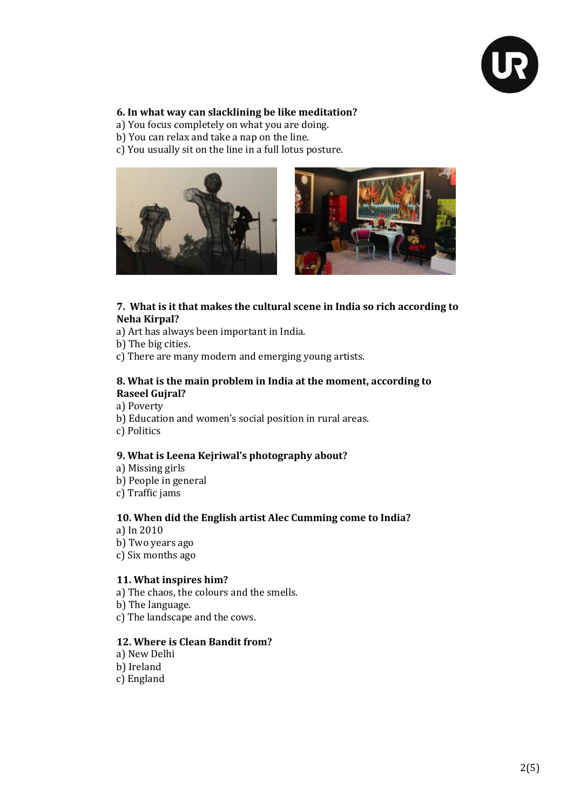

#### **6. In what way can slacklining be like meditation?**

- a) You focus completely on what you are doing.
- b) You can relax and take a nap on the line.
- c) You usually sit on the line in a full lotus posture.





#### **7. What is it that makes the cultural scene in India so rich according to Neha Kirpal?**

- a) Art has always been important in India.
- b) The big cities.
- c) There are many modern and emerging young artists.

#### **8. What is the main problem in India at the moment, according to Raseel Gujral?**

a) Poverty b) Education and women's social position in rural areas. c) Politics

#### **9. What is Leena Kejriwal's photography about?**

- a) Missing girls b) People in general
- c) Traffic jams

#### **10. When did the English artist Alec Cumming come to India?**

a) In 2010 b) Two years ago c) Six months ago

#### **11. What inspires him?**

a) The chaos, the colours and the smells. b) The language. c) The landscape and the cows.

#### **12. Where is Clean Bandit from?**

a) New Delhi b) Ireland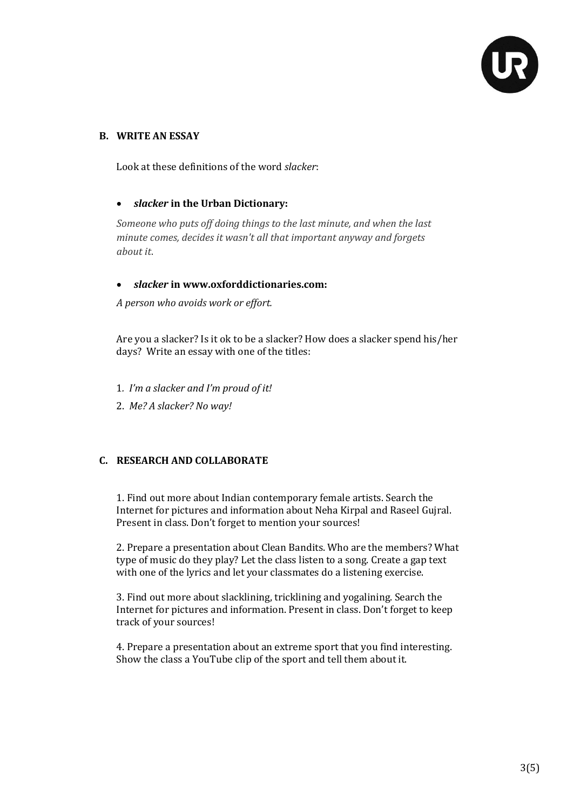

#### **B. WRITE AN ESSAY**

Look at these definitions of the word *slacker*:

# *slacker* **in the Urban Dictionary:**

*Someone who puts off doing things to the last minute, and when the last minute comes, decides it wasn't all that important anyway and forgets about it*.

# *slacker* **in [www.oxforddictionaries.com:](http://www.oxforddictionaries.com/)**

*A person who avoids work or [effort.](http://www.oxforddictionaries.com/definition/english/effort#effort__3)*

Are you a slacker? Is it ok to be a slacker? How does a slacker spend his/her days? Write an essay with one of the titles:

1*. I'm a slacker and I'm proud of it!* 

2. *Me? A slacker? No way!*

# **C. RESEARCH AND COLLABORATE**

1. Find out more about Indian contemporary female artists. Search the Internet for pictures and information about Neha Kirpal and Raseel Gujral. Present in class. Don't forget to mention your sources!

2. Prepare a presentation about Clean Bandits. Who are the members? What type of music do they play? Let the class listen to a song. Create a gap text with one of the lyrics and let your classmates do a listening exercise.

3. Find out more about slacklining, tricklining and yogalining. Search the Internet for pictures and information. Present in class. Don't forget to keep track of your sources!

4. Prepare a presentation about an extreme sport that you find interesting. Show the class a YouTube clip of the sport and tell them about it.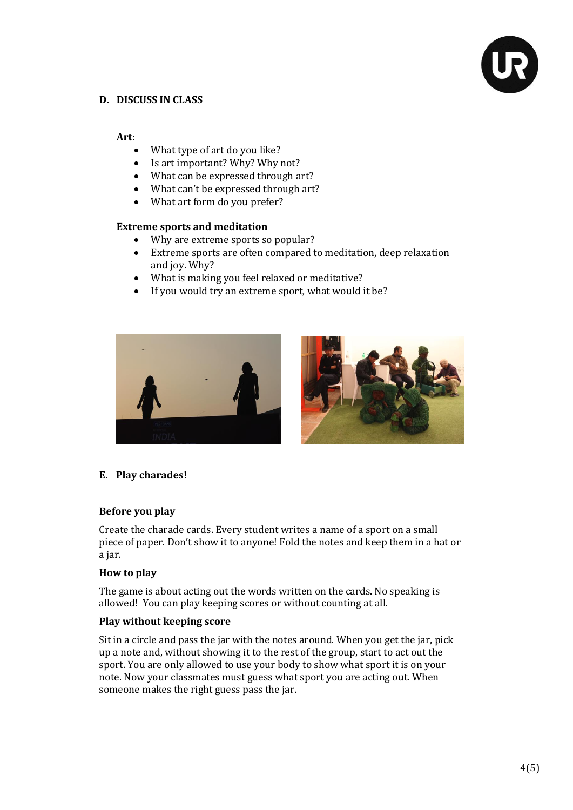

# **D. DISCUSS IN CLASS**

#### **Art:**

- What type of art do you like?
- Is art important? Why? Why not?
- What can be expressed through art?
- What can't be expressed through art?
- What art form do you prefer?

#### **Extreme sports and meditation**

- Why are extreme sports so popular?
- Extreme sports are often compared to meditation, deep relaxation and joy. Why?
- What is making you feel relaxed or meditative?
- If you would try an extreme sport, what would it be?





#### **E. Play charades!**

#### **Before you play**

Create the charade cards. Every student writes a name of a sport on a small piece of paper. Don't show it to anyone! Fold the notes and keep them in a hat or a jar.

#### **How to play**

The game is about acting out the words written on the cards. No speaking is allowed! You can play keeping scores or without counting at all.

#### **Play without keeping score**

Sit in a circle and pass the jar with the notes around. When you get the jar, pick up a note and, without showing it to the rest of the group, start to act out the sport. You are only allowed to use your body to show what sport it is on your note. Now your classmates must guess what sport you are acting out. When someone makes the right guess pass the jar.